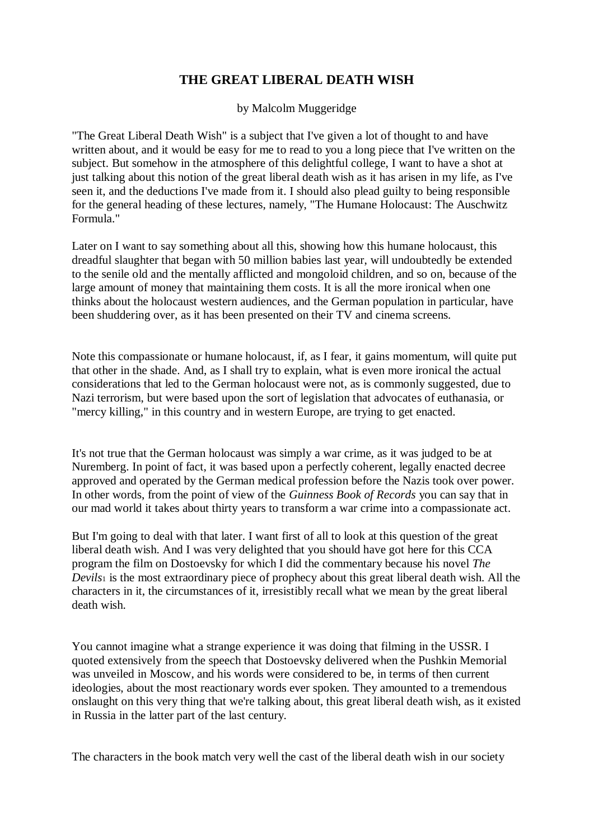## **THE GREAT LIBERAL DEATH WISH**

by Malcolm Muggeridge

"The Great Liberal Death Wish" is a subject that I've given a lot of thought to and have written about, and it would be easy for me to read to you a long piece that I've written on the subject. But somehow in the atmosphere of this delightful college, I want to have a shot at just talking about this notion of the great liberal death wish as it has arisen in my life, as I've seen it, and the deductions I've made from it. I should also plead guilty to being responsible for the general heading of these lectures, namely, "The Humane Holocaust: The Auschwitz Formula."

Later on I want to say something about all this, showing how this humane holocaust, this dreadful slaughter that began with 50 million babies last year, will undoubtedly be extended to the senile old and the mentally afflicted and mongoloid children, and so on, because of the large amount of money that maintaining them costs. It is all the more ironical when one thinks about the holocaust western audiences, and the German population in particular, have been shuddering over, as it has been presented on their TV and cinema screens.

Note this compassionate or humane holocaust, if, as I fear, it gains momentum, will quite put that other in the shade. And, as I shall try to explain, what is even more ironical the actual considerations that led to the German holocaust were not, as is commonly suggested, due to Nazi terrorism, but were based upon the sort of legislation that advocates of euthanasia, or "mercy killing," in this country and in western Europe, are trying to get enacted.

It's not true that the German holocaust was simply a war crime, as it was judged to be at Nuremberg. In point of fact, it was based upon a perfectly coherent, legally enacted decree approved and operated by the German medical profession before the Nazis took over power. In other words, from the point of view of the *Guinness Book of Records* you can say that in our mad world it takes about thirty years to transform a war crime into a compassionate act.

But I'm going to deal with that later. I want first of all to look at this question of the great liberal death wish. And I was very delighted that you should have got here for this CCA program the film on Dostoevsky for which I did the commentary because his novel *The Devils*<sup>1</sup> is the most extraordinary piece of prophecy about this great liberal death wish. All the characters in it, the circumstances of it, irresistibly recall what we mean by the great liberal death wish.

You cannot imagine what a strange experience it was doing that filming in the USSR. I quoted extensively from the speech that Dostoevsky delivered when the Pushkin Memorial was unveiled in Moscow, and his words were considered to be, in terms of then current ideologies, about the most reactionary words ever spoken. They amounted to a tremendous onslaught on this very thing that we're talking about, this great liberal death wish, as it existed in Russia in the latter part of the last century.

The characters in the book match very well the cast of the liberal death wish in our society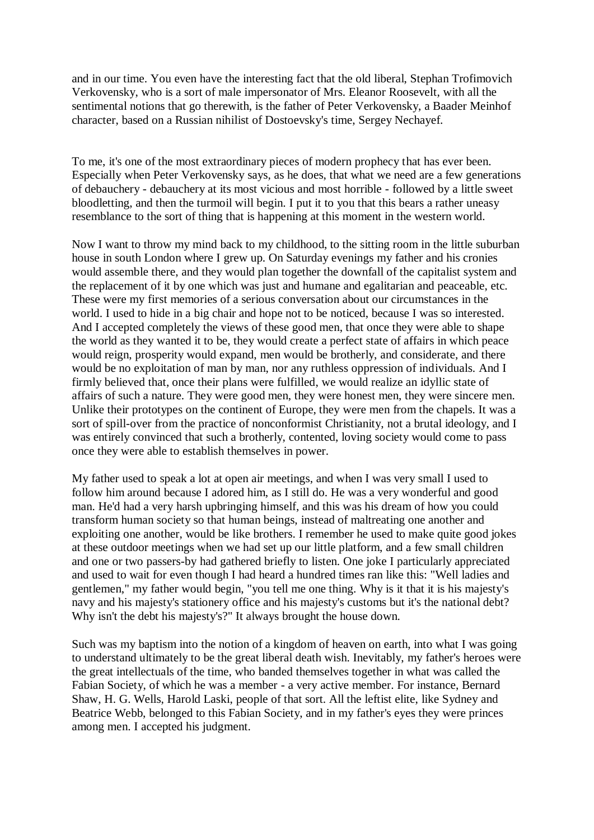and in our time. You even have the interesting fact that the old liberal, Stephan Trofimovich Verkovensky, who is a sort of male impersonator of Mrs. Eleanor Roosevelt, with all the sentimental notions that go therewith, is the father of Peter Verkovensky, a Baader Meinhof character, based on a Russian nihilist of Dostoevsky's time, Sergey Nechayef.

To me, it's one of the most extraordinary pieces of modern prophecy that has ever been. Especially when Peter Verkovensky says, as he does, that what we need are a few generations of debauchery - debauchery at its most vicious and most horrible - followed by a little sweet bloodletting, and then the turmoil will begin. I put it to you that this bears a rather uneasy resemblance to the sort of thing that is happening at this moment in the western world.

Now I want to throw my mind back to my childhood, to the sitting room in the little suburban house in south London where I grew up. On Saturday evenings my father and his cronies would assemble there, and they would plan together the downfall of the capitalist system and the replacement of it by one which was just and humane and egalitarian and peaceable, etc. These were my first memories of a serious conversation about our circumstances in the world. I used to hide in a big chair and hope not to be noticed, because I was so interested. And I accepted completely the views of these good men, that once they were able to shape the world as they wanted it to be, they would create a perfect state of affairs in which peace would reign, prosperity would expand, men would be brotherly, and considerate, and there would be no exploitation of man by man, nor any ruthless oppression of individuals. And I firmly believed that, once their plans were fulfilled, we would realize an idyllic state of affairs of such a nature. They were good men, they were honest men, they were sincere men. Unlike their prototypes on the continent of Europe, they were men from the chapels. It was a sort of spill-over from the practice of nonconformist Christianity, not a brutal ideology, and I was entirely convinced that such a brotherly, contented, loving society would come to pass once they were able to establish themselves in power.

My father used to speak a lot at open air meetings, and when I was very small I used to follow him around because I adored him, as I still do. He was a very wonderful and good man. He'd had a very harsh upbringing himself, and this was his dream of how you could transform human society so that human beings, instead of maltreating one another and exploiting one another, would be like brothers. I remember he used to make quite good jokes at these outdoor meetings when we had set up our little platform, and a few small children and one or two passers-by had gathered briefly to listen. One joke I particularly appreciated and used to wait for even though I had heard a hundred times ran like this: "Well ladies and gentlemen," my father would begin, "you tell me one thing. Why is it that it is his majesty's navy and his majesty's stationery office and his majesty's customs but it's the national debt? Why isn't the debt his majesty's?" It always brought the house down.

Such was my baptism into the notion of a kingdom of heaven on earth, into what I was going to understand ultimately to be the great liberal death wish. Inevitably, my father's heroes were the great intellectuals of the time, who banded themselves together in what was called the Fabian Society, of which he was a member - a very active member. For instance, Bernard Shaw, H. G. Wells, Harold Laski, people of that sort. All the leftist elite, like Sydney and Beatrice Webb, belonged to this Fabian Society, and in my father's eyes they were princes among men. I accepted his judgment.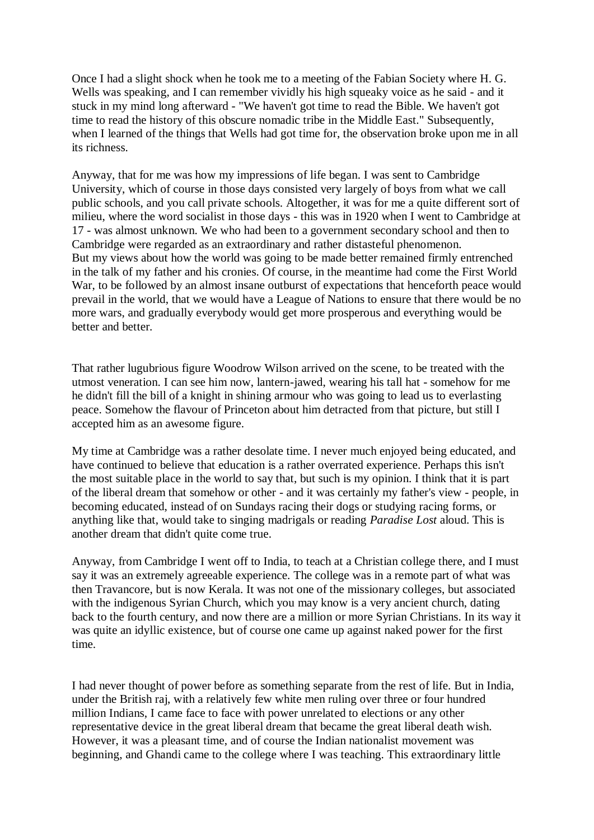Once I had a slight shock when he took me to a meeting of the Fabian Society where H. G. Wells was speaking, and I can remember vividly his high squeaky voice as he said - and it stuck in my mind long afterward - "We haven't got time to read the Bible. We haven't got time to read the history of this obscure nomadic tribe in the Middle East." Subsequently, when I learned of the things that Wells had got time for, the observation broke upon me in all its richness.

Anyway, that for me was how my impressions of life began. I was sent to Cambridge University, which of course in those days consisted very largely of boys from what we call public schools, and you call private schools. Altogether, it was for me a quite different sort of milieu, where the word socialist in those days - this was in 1920 when I went to Cambridge at 17 - was almost unknown. We who had been to a government secondary school and then to Cambridge were regarded as an extraordinary and rather distasteful phenomenon. But my views about how the world was going to be made better remained firmly entrenched in the talk of my father and his cronies. Of course, in the meantime had come the First World War, to be followed by an almost insane outburst of expectations that henceforth peace would prevail in the world, that we would have a League of Nations to ensure that there would be no more wars, and gradually everybody would get more prosperous and everything would be better and better.

That rather lugubrious figure Woodrow Wilson arrived on the scene, to be treated with the utmost veneration. I can see him now, lantern-jawed, wearing his tall hat - somehow for me he didn't fill the bill of a knight in shining armour who was going to lead us to everlasting peace. Somehow the flavour of Princeton about him detracted from that picture, but still I accepted him as an awesome figure.

My time at Cambridge was a rather desolate time. I never much enjoyed being educated, and have continued to believe that education is a rather overrated experience. Perhaps this isn't the most suitable place in the world to say that, but such is my opinion. I think that it is part of the liberal dream that somehow or other - and it was certainly my father's view - people, in becoming educated, instead of on Sundays racing their dogs or studying racing forms, or anything like that, would take to singing madrigals or reading *Paradise Lost* aloud. This is another dream that didn't quite come true.

Anyway, from Cambridge I went off to India, to teach at a Christian college there, and I must say it was an extremely agreeable experience. The college was in a remote part of what was then Travancore, but is now Kerala. It was not one of the missionary colleges, but associated with the indigenous Syrian Church, which you may know is a very ancient church, dating back to the fourth century, and now there are a million or more Syrian Christians. In its way it was quite an idyllic existence, but of course one came up against naked power for the first time.

I had never thought of power before as something separate from the rest of life. But in India, under the British raj, with a relatively few white men ruling over three or four hundred million Indians, I came face to face with power unrelated to elections or any other representative device in the great liberal dream that became the great liberal death wish. However, it was a pleasant time, and of course the Indian nationalist movement was beginning, and Ghandi came to the college where I was teaching. This extraordinary little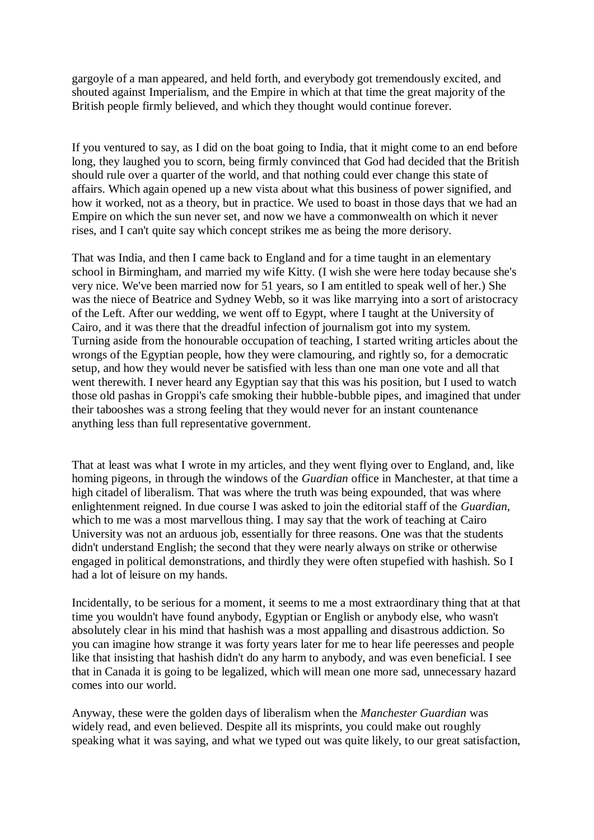gargoyle of a man appeared, and held forth, and everybody got tremendously excited, and shouted against Imperialism, and the Empire in which at that time the great majority of the British people firmly believed, and which they thought would continue forever.

If you ventured to say, as I did on the boat going to India, that it might come to an end before long, they laughed you to scorn, being firmly convinced that God had decided that the British should rule over a quarter of the world, and that nothing could ever change this state of affairs. Which again opened up a new vista about what this business of power signified, and how it worked, not as a theory, but in practice. We used to boast in those days that we had an Empire on which the sun never set, and now we have a commonwealth on which it never rises, and I can't quite say which concept strikes me as being the more derisory.

That was India, and then I came back to England and for a time taught in an elementary school in Birmingham, and married my wife Kitty. (I wish she were here today because she's very nice. We've been married now for 51 years, so I am entitled to speak well of her.) She was the niece of Beatrice and Sydney Webb, so it was like marrying into a sort of aristocracy of the Left. After our wedding, we went off to Egypt, where I taught at the University of Cairo, and it was there that the dreadful infection of journalism got into my system. Turning aside from the honourable occupation of teaching, I started writing articles about the wrongs of the Egyptian people, how they were clamouring, and rightly so, for a democratic setup, and how they would never be satisfied with less than one man one vote and all that went therewith. I never heard any Egyptian say that this was his position, but I used to watch those old pashas in Groppi's cafe smoking their hubble-bubble pipes, and imagined that under their tabooshes was a strong feeling that they would never for an instant countenance anything less than full representative government.

That at least was what I wrote in my articles, and they went flying over to England, and, like homing pigeons, in through the windows of the *Guardian* office in Manchester, at that time a high citadel of liberalism. That was where the truth was being expounded, that was where enlightenment reigned. In due course I was asked to join the editorial staff of the *Guardian*, which to me was a most marvellous thing. I may say that the work of teaching at Cairo University was not an arduous job, essentially for three reasons. One was that the students didn't understand English; the second that they were nearly always on strike or otherwise engaged in political demonstrations, and thirdly they were often stupefied with hashish. So I had a lot of leisure on my hands.

Incidentally, to be serious for a moment, it seems to me a most extraordinary thing that at that time you wouldn't have found anybody, Egyptian or English or anybody else, who wasn't absolutely clear in his mind that hashish was a most appalling and disastrous addiction. So you can imagine how strange it was forty years later for me to hear life peeresses and people like that insisting that hashish didn't do any harm to anybody, and was even beneficial. I see that in Canada it is going to be legalized, which will mean one more sad, unnecessary hazard comes into our world.

Anyway, these were the golden days of liberalism when the *Manchester Guardian* was widely read, and even believed. Despite all its misprints, you could make out roughly speaking what it was saying, and what we typed out was quite likely, to our great satisfaction,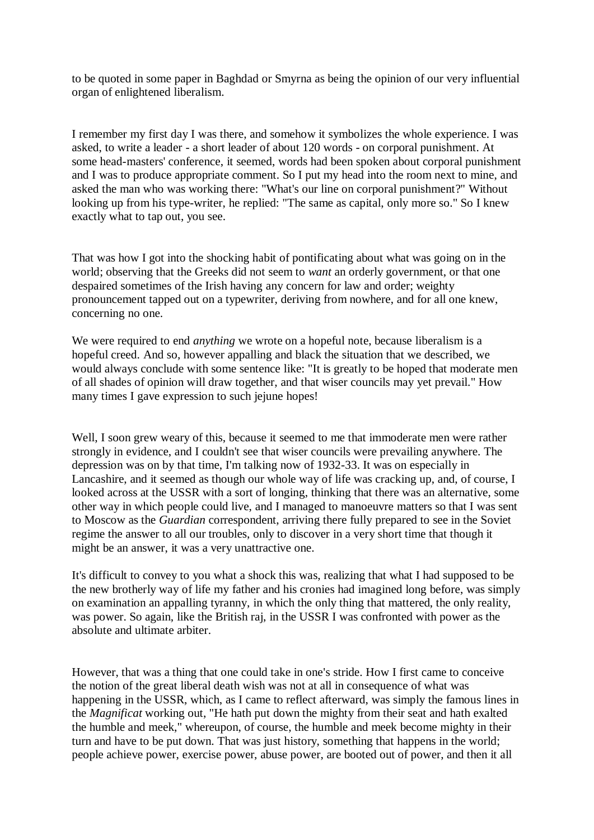to be quoted in some paper in Baghdad or Smyrna as being the opinion of our very influential organ of enlightened liberalism.

I remember my first day I was there, and somehow it symbolizes the whole experience. I was asked, to write a leader - a short leader of about 120 words - on corporal punishment. At some head-masters' conference, it seemed, words had been spoken about corporal punishment and I was to produce appropriate comment. So I put my head into the room next to mine, and asked the man who was working there: "What's our line on corporal punishment?" Without looking up from his type-writer, he replied: "The same as capital, only more so." So I knew exactly what to tap out, you see.

That was how I got into the shocking habit of pontificating about what was going on in the world; observing that the Greeks did not seem to *want* an orderly government, or that one despaired sometimes of the Irish having any concern for law and order; weighty pronouncement tapped out on a typewriter, deriving from nowhere, and for all one knew, concerning no one.

We were required to end *anything* we wrote on a hopeful note, because liberalism is a hopeful creed. And so, however appalling and black the situation that we described, we would always conclude with some sentence like: "It is greatly to be hoped that moderate men of all shades of opinion will draw together, and that wiser councils may yet prevail." How many times I gave expression to such jejune hopes!

Well, I soon grew weary of this, because it seemed to me that immoderate men were rather strongly in evidence, and I couldn't see that wiser councils were prevailing anywhere. The depression was on by that time, I'm talking now of 1932-33. It was on especially in Lancashire, and it seemed as though our whole way of life was cracking up, and, of course, I looked across at the USSR with a sort of longing, thinking that there was an alternative, some other way in which people could live, and I managed to manoeuvre matters so that I was sent to Moscow as the *Guardian* correspondent, arriving there fully prepared to see in the Soviet regime the answer to all our troubles, only to discover in a very short time that though it might be an answer, it was a very unattractive one.

It's difficult to convey to you what a shock this was, realizing that what I had supposed to be the new brotherly way of life my father and his cronies had imagined long before, was simply on examination an appalling tyranny, in which the only thing that mattered, the only reality, was power. So again, like the British raj, in the USSR I was confronted with power as the absolute and ultimate arbiter.

However, that was a thing that one could take in one's stride. How I first came to conceive the notion of the great liberal death wish was not at all in consequence of what was happening in the USSR, which, as I came to reflect afterward, was simply the famous lines in the *Magnificat* working out, "He hath put down the mighty from their seat and hath exalted the humble and meek," whereupon, of course, the humble and meek become mighty in their turn and have to be put down. That was just history, something that happens in the world; people achieve power, exercise power, abuse power, are booted out of power, and then it all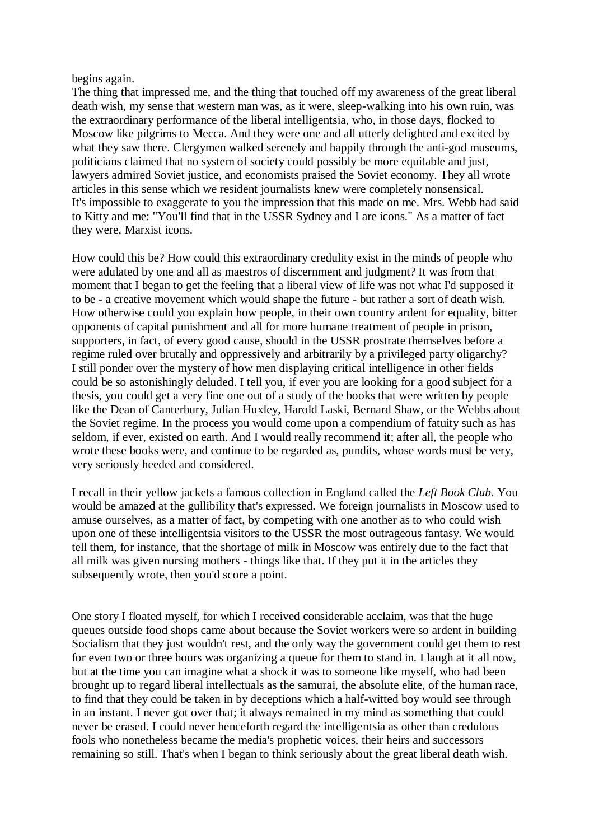## begins again.

The thing that impressed me, and the thing that touched off my awareness of the great liberal death wish, my sense that western man was, as it were, sleep-walking into his own ruin, was the extraordinary performance of the liberal intelligentsia, who, in those days, flocked to Moscow like pilgrims to Mecca. And they were one and all utterly delighted and excited by what they saw there. Clergymen walked serenely and happily through the anti-god museums, politicians claimed that no system of society could possibly be more equitable and just, lawyers admired Soviet justice, and economists praised the Soviet economy. They all wrote articles in this sense which we resident journalists knew were completely nonsensical. It's impossible to exaggerate to you the impression that this made on me. Mrs. Webb had said to Kitty and me: "You'll find that in the USSR Sydney and I are icons." As a matter of fact they were, Marxist icons.

How could this be? How could this extraordinary credulity exist in the minds of people who were adulated by one and all as maestros of discernment and judgment? It was from that moment that I began to get the feeling that a liberal view of life was not what I'd supposed it to be - a creative movement which would shape the future - but rather a sort of death wish. How otherwise could you explain how people, in their own country ardent for equality, bitter opponents of capital punishment and all for more humane treatment of people in prison, supporters, in fact, of every good cause, should in the USSR prostrate themselves before a regime ruled over brutally and oppressively and arbitrarily by a privileged party oligarchy? I still ponder over the mystery of how men displaying critical intelligence in other fields could be so astonishingly deluded. I tell you, if ever you are looking for a good subject for a thesis, you could get a very fine one out of a study of the books that were written by people like the Dean of Canterbury, Julian Huxley, Harold Laski, Bernard Shaw, or the Webbs about the Soviet regime. In the process you would come upon a compendium of fatuity such as has seldom, if ever, existed on earth. And I would really recommend it; after all, the people who wrote these books were, and continue to be regarded as, pundits, whose words must be very, very seriously heeded and considered.

I recall in their yellow jackets a famous collection in England called the *Left Book Club*. You would be amazed at the gullibility that's expressed. We foreign journalists in Moscow used to amuse ourselves, as a matter of fact, by competing with one another as to who could wish upon one of these intelligentsia visitors to the USSR the most outrageous fantasy. We would tell them, for instance, that the shortage of milk in Moscow was entirely due to the fact that all milk was given nursing mothers - things like that. If they put it in the articles they subsequently wrote, then you'd score a point.

One story I floated myself, for which I received considerable acclaim, was that the huge queues outside food shops came about because the Soviet workers were so ardent in building Socialism that they just wouldn't rest, and the only way the government could get them to rest for even two or three hours was organizing a queue for them to stand in. I laugh at it all now, but at the time you can imagine what a shock it was to someone like myself, who had been brought up to regard liberal intellectuals as the samurai, the absolute elite, of the human race, to find that they could be taken in by deceptions which a half-witted boy would see through in an instant. I never got over that; it always remained in my mind as something that could never be erased. I could never henceforth regard the intelligentsia as other than credulous fools who nonetheless became the media's prophetic voices, their heirs and successors remaining so still. That's when I began to think seriously about the great liberal death wish.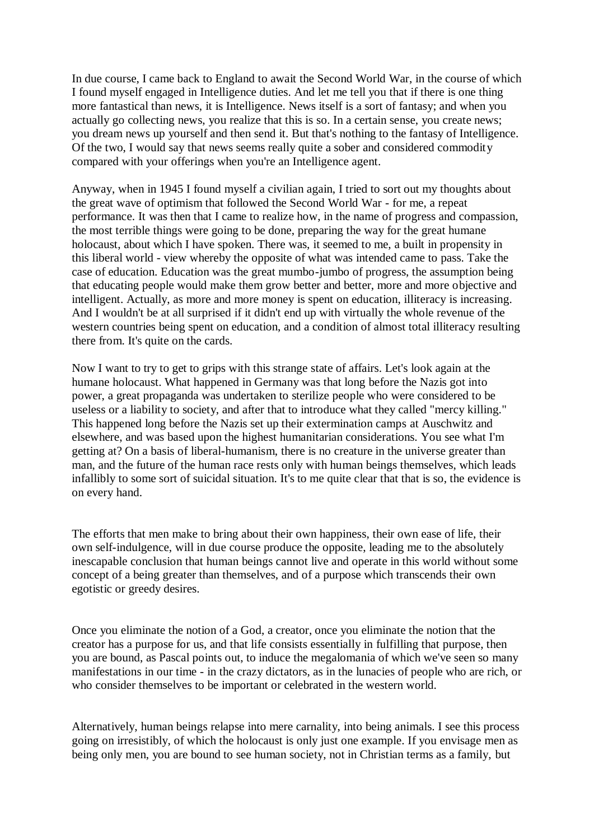In due course, I came back to England to await the Second World War, in the course of which I found myself engaged in Intelligence duties. And let me tell you that if there is one thing more fantastical than news, it is Intelligence. News itself is a sort of fantasy; and when you actually go collecting news, you realize that this is so. In a certain sense, you create news; you dream news up yourself and then send it. But that's nothing to the fantasy of Intelligence. Of the two, I would say that news seems really quite a sober and considered commodity compared with your offerings when you're an Intelligence agent.

Anyway, when in 1945 I found myself a civilian again, I tried to sort out my thoughts about the great wave of optimism that followed the Second World War - for me, a repeat performance. It was then that I came to realize how, in the name of progress and compassion, the most terrible things were going to be done, preparing the way for the great humane holocaust, about which I have spoken. There was, it seemed to me, a built in propensity in this liberal world - view whereby the opposite of what was intended came to pass. Take the case of education. Education was the great mumbo-jumbo of progress, the assumption being that educating people would make them grow better and better, more and more objective and intelligent. Actually, as more and more money is spent on education, illiteracy is increasing. And I wouldn't be at all surprised if it didn't end up with virtually the whole revenue of the western countries being spent on education, and a condition of almost total illiteracy resulting there from. It's quite on the cards.

Now I want to try to get to grips with this strange state of affairs. Let's look again at the humane holocaust. What happened in Germany was that long before the Nazis got into power, a great propaganda was undertaken to sterilize people who were considered to be useless or a liability to society, and after that to introduce what they called "mercy killing." This happened long before the Nazis set up their extermination camps at Auschwitz and elsewhere, and was based upon the highest humanitarian considerations. You see what I'm getting at? On a basis of liberal-humanism, there is no creature in the universe greater than man, and the future of the human race rests only with human beings themselves, which leads infallibly to some sort of suicidal situation. It's to me quite clear that that is so, the evidence is on every hand.

The efforts that men make to bring about their own happiness, their own ease of life, their own self-indulgence, will in due course produce the opposite, leading me to the absolutely inescapable conclusion that human beings cannot live and operate in this world without some concept of a being greater than themselves, and of a purpose which transcends their own egotistic or greedy desires.

Once you eliminate the notion of a God, a creator, once you eliminate the notion that the creator has a purpose for us, and that life consists essentially in fulfilling that purpose, then you are bound, as Pascal points out, to induce the megalomania of which we've seen so many manifestations in our time - in the crazy dictators, as in the lunacies of people who are rich, or who consider themselves to be important or celebrated in the western world.

Alternatively, human beings relapse into mere carnality, into being animals. I see this process going on irresistibly, of which the holocaust is only just one example. If you envisage men as being only men, you are bound to see human society, not in Christian terms as a family, but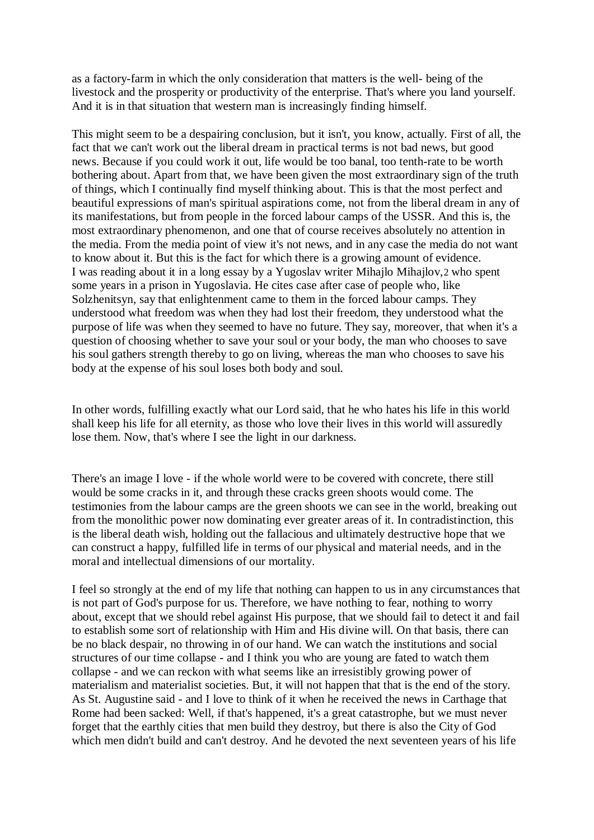as a factory-farm in which the only consideration that matters is the well- being of the livestock and the prosperity or productivity of the enterprise. That's where you land yourself. And it is in that situation that western man is increasingly finding himself.

This might seem to be a despairing conclusion, but it isn't, you know, actually. First of all, the fact that we can't work out the liberal dream in practical terms is not bad news, but good news. Because if you could work it out, life would be too banal, too tenth-rate to be worth bothering about. Apart from that, we have been given the most extraordinary sign of the truth of things, which I continually find myself thinking about. This is that the most perfect and beautiful expressions of man's spiritual aspirations come, not from the liberal dream in any of its manifestations, but from people in the forced labour camps of the USSR. And this is, the most extraordinary phenomenon, and one that of course receives absolutely no attention in the media. From the media point of view it's not news, and in any case the media do not want to know about it. But this is the fact for which there is a growing amount of evidence. I was reading about it in a long essay by a Yugoslav writer Mihajlo Mihajlov,2 who spent some years in a prison in Yugoslavia. He cites case after case of people who, like Solzhenitsyn, say that enlightenment came to them in the forced labour camps. They understood what freedom was when they had lost their freedom, they understood what the purpose of life was when they seemed to have no future. They say, moreover, that when it's a question of choosing whether to save your soul or your body, the man who chooses to save his soul gathers strength thereby to go on living, whereas the man who chooses to save his body at the expense of his soul loses both body and soul.

In other words, fulfilling exactly what our Lord said, that he who hates his life in this world shall keep his life for all eternity, as those who love their lives in this world will assuredly lose them. Now, that's where I see the light in our darkness.

There's an image I love - if the whole world were to be covered with concrete, there still would be some cracks in it, and through these cracks green shoots would come. The testimonies from the labour camps are the green shoots we can see in the world, breaking out from the monolithic power now dominating ever greater areas of it. In contradistinction, this is the liberal death wish, holding out the fallacious and ultimately destructive hope that we can construct a happy, fulfilled life in terms of our physical and material needs, and in the moral and intellectual dimensions of our mortality.

I feel so strongly at the end of my life that nothing can happen to us in any circumstances that is not part of God's purpose for us. Therefore, we have nothing to fear, nothing to worry about, except that we should rebel against His purpose, that we should fail to detect it and fail to establish some sort of relationship with Him and His divine will. On that basis, there can be no black despair, no throwing in of our hand. We can watch the institutions and social structures of our time collapse - and I think you who are young are fated to watch them collapse - and we can reckon with what seems like an irresistibly growing power of materialism and materialist societies. But, it will not happen that that is the end of the story. As St. Augustine said - and I love to think of it when he received the news in Carthage that Rome had been sacked: Well, if that's happened, it's a great catastrophe, but we must never forget that the earthly cities that men build they destroy, but there is also the City of God which men didn't build and can't destroy. And he devoted the next seventeen years of his life